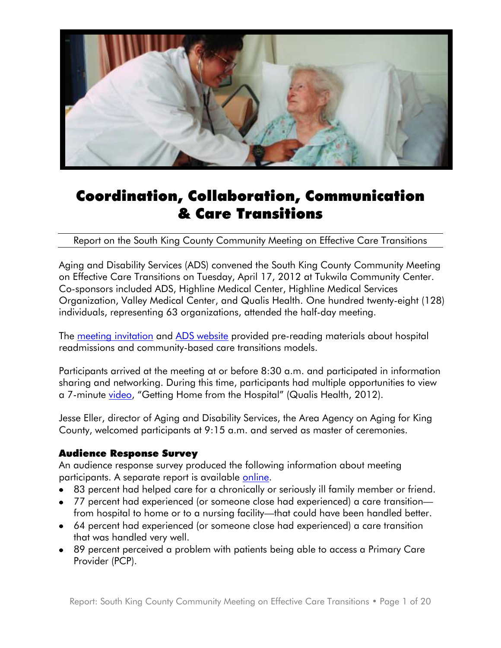

# Coordination, Collaboration, Communication & Care Transitions

Report on the South King County Community Meeting on Effective Care Transitions

Aging and Disability Services (ADS) convened the South King County Community Meeting on Effective Care Transitions on Tuesday, April 17, 2012 at Tukwila Community Center. Co-sponsors included ADS, Highline Medical Center, Highline Medical Services Organization, Valley Medical Center, and Qualis Health. One hundred twenty-eight (128) individuals, representing 63 organizations, attended the half-day meeting.

The [meeting invitation](http://www.agingkingcounty.org/healthcarereform/docs/CareTransitions_communitymeeting.pdf) and [ADS website](http://www.agingkingcounty.org/healthcarereform/default.htm) provided pre-reading materials about hospital readmissions and community-based care transitions models.

Participants arrived at the meeting at or before 8:30 a.m. and participated in information sharing and networking. During this time, participants had multiple opportunities to view a 7-minute [video](http://www.youtube.com/watch?v=DrYQRvQU9rw&feature=youtu.be), "Getting Home from the Hospital" (Qualis Health, 2012).

Jesse Eller, director of Aging and Disability Services, the Area Agency on Aging for King County, welcomed participants at 9:15 a.m. and served as master of ceremonies.

### Audience Response Survey

An audience response survey produced the following information about meeting participants. A separate report is available [online.](http://www.agingkingcounty.org/healthcarereform/docs/audienceresponseresults.pdf)

- 83 percent had helped care for a chronically or seriously ill family member or friend.
- 77 percent had experienced (or someone close had experienced) a care transition from hospital to home or to a nursing facility—that could have been handled better.
- 64 percent had experienced (or someone close had experienced) a care transition that was handled very well.
- 89 percent perceived a problem with patients being able to access a Primary Care Provider (PCP).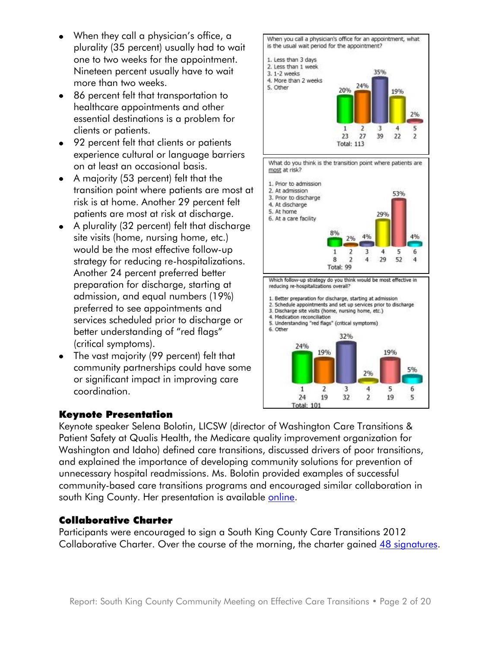- When they call a physician's office, a plurality (35 percent) usually had to wait one to two weeks for the appointment. Nineteen percent usually have to wait more than two weeks.
- 86 percent felt that transportation to healthcare appointments and other essential destinations is a problem for clients or patients.
- 92 percent felt that clients or patients experience cultural or language barriers on at least an occasional basis.
- A majority (53 percent) felt that the transition point where patients are most at risk is at home. Another 29 percent felt patients are most at risk at discharge.
- A plurality (32 percent) felt that discharge site visits (home, nursing home, etc.) would be the most effective follow-up strategy for reducing re-hospitalizations. Another 24 percent preferred better preparation for discharge, starting at admission, and equal numbers (19%) preferred to see appointments and services scheduled prior to discharge or better understanding of "red flags" (critical symptoms).
- The vast majority (99 percent) felt that community partnerships could have some or significant impact in improving care coordination.

### Keynote Presentation



When you call a physician's office for an appointment, what

is the usual wait period for the appointment?

1. Less than 3 days



Keynote speaker Selena Bolotin, LICSW (director of Washington Care Transitions & Patient Safety at Qualis Health, the Medicare quality improvement organization for Washington and Idaho) defined care transitions, discussed drivers of poor transitions, and explained the importance of developing community solutions for prevention of unnecessary hospital readmissions. Ms. Bolotin provided examples of successful community-based care transitions programs and encouraged similar collaboration in south King County. Her presentation is available [online.](http://www.agingkingcounty.org/healthcarereform/docs/bolotinkeynote.pdf)

### Collaborative Charter

Participants were encouraged to sign a South King County Care Transitions 2012 Collaborative Charter. Over the course of the morning, the charter gained [48 signatures.](http://www.agingkingcounty.org/healthcarereform/docs/SKCchartersignatures_041712.pdf)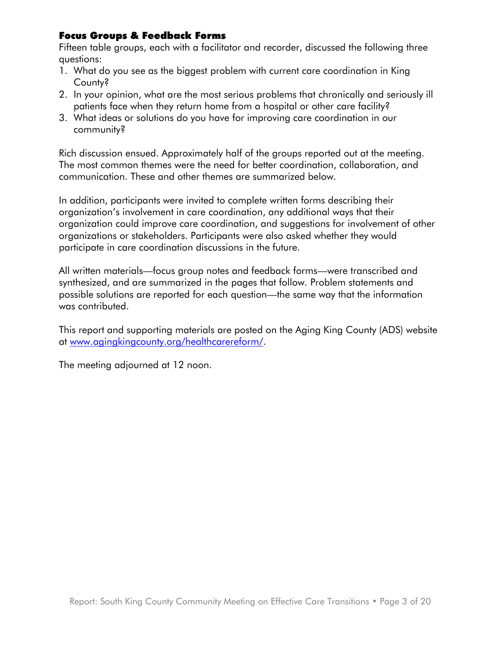### Focus Groups & Feedback Forms

Fifteen table groups, each with a facilitator and recorder, discussed the following three questions:

- 1. What do you see as the biggest problem with current care coordination in King County?
- 2. In your opinion, what are the most serious problems that chronically and seriously ill patients face when they return home from a hospital or other care facility?
- 3. What ideas or solutions do you have for improving care coordination in our community?

Rich discussion ensued. Approximately half of the groups reported out at the meeting. The most common themes were the need for better coordination, collaboration, and communication. These and other themes are summarized below.

In addition, participants were invited to complete written forms describing their organization's involvement in care coordination, any additional ways that their organization could improve care coordination, and suggestions for involvement of other organizations or stakeholders. Participants were also asked whether they would participate in care coordination discussions in the future.

All written materials—focus group notes and feedback forms—were transcribed and synthesized, and are summarized in the pages that follow. Problem statements and possible solutions are reported for each question—the same way that the information was contributed.

This report and supporting materials are posted on the Aging King County (ADS) website at [www.agingkingcounty.org/healthcarereform/.](http://www.agingkingcounty.org/healthcarereform/)

The meeting adjourned at 12 noon.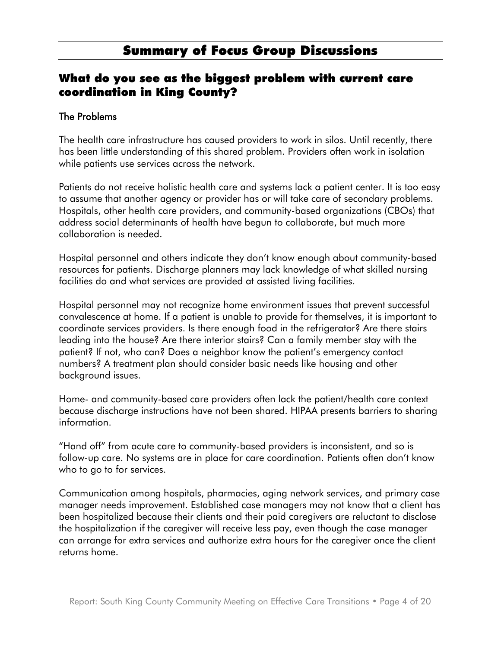# Summary of Focus Group Discussions

# What do you see as the biggest problem with current care coordination in King County?

### The Problems

The health care infrastructure has caused providers to work in silos. Until recently, there has been little understanding of this shared problem. Providers often work in isolation while patients use services across the network.

Patients do not receive holistic health care and systems lack a patient center. It is too easy to assume that another agency or provider has or will take care of secondary problems. Hospitals, other health care providers, and community-based organizations (CBOs) that address social determinants of health have begun to collaborate, but much more collaboration is needed.

Hospital personnel and others indicate they don't know enough about community-based resources for patients. Discharge planners may lack knowledge of what skilled nursing facilities do and what services are provided at assisted living facilities.

Hospital personnel may not recognize home environment issues that prevent successful convalescence at home. If a patient is unable to provide for themselves, it is important to coordinate services providers. Is there enough food in the refrigerator? Are there stairs leading into the house? Are there interior stairs? Can a family member stay with the patient? If not, who can? Does a neighbor know the patient's emergency contact numbers? A treatment plan should consider basic needs like housing and other background issues.

Home- and community-based care providers often lack the patient/health care context because discharge instructions have not been shared. HIPAA presents barriers to sharing information.

"Hand off" from acute care to community-based providers is inconsistent, and so is follow-up care. No systems are in place for care coordination. Patients often don't know who to go to for services.

Communication among hospitals, pharmacies, aging network services, and primary case manager needs improvement. Established case managers may not know that a client has been hospitalized because their clients and their paid caregivers are reluctant to disclose the hospitalization if the caregiver will receive less pay, even though the case manager can arrange for extra services and authorize extra hours for the caregiver once the client returns home.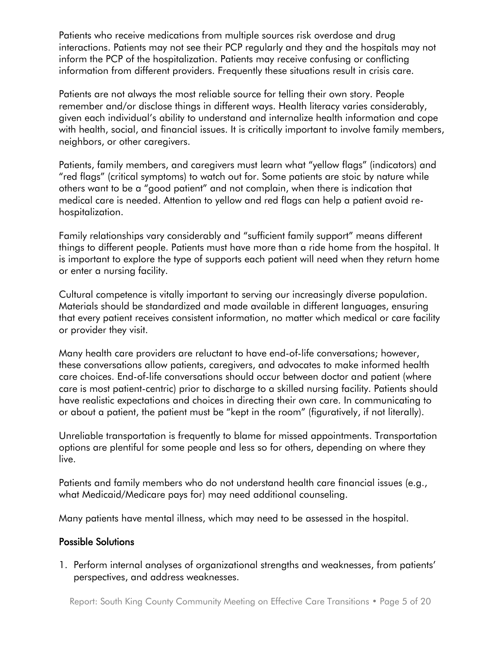Patients who receive medications from multiple sources risk overdose and drug interactions. Patients may not see their PCP regularly and they and the hospitals may not inform the PCP of the hospitalization. Patients may receive confusing or conflicting information from different providers. Frequently these situations result in crisis care.

Patients are not always the most reliable source for telling their own story. People remember and/or disclose things in different ways. Health literacy varies considerably, given each individual's ability to understand and internalize health information and cope with health, social, and financial issues. It is critically important to involve family members, neighbors, or other caregivers.

Patients, family members, and caregivers must learn what "yellow flags" (indicators) and "red flags" (critical symptoms) to watch out for. Some patients are stoic by nature while others want to be a "good patient" and not complain, when there is indication that medical care is needed. Attention to yellow and red flags can help a patient avoid rehospitalization.

Family relationships vary considerably and "sufficient family support" means different things to different people. Patients must have more than a ride home from the hospital. It is important to explore the type of supports each patient will need when they return home or enter a nursing facility.

Cultural competence is vitally important to serving our increasingly diverse population. Materials should be standardized and made available in different languages, ensuring that every patient receives consistent information, no matter which medical or care facility or provider they visit.

Many health care providers are reluctant to have end-of-life conversations; however, these conversations allow patients, caregivers, and advocates to make informed health care choices. End-of-life conversations should occur between doctor and patient (where care is most patient-centric) prior to discharge to a skilled nursing facility. Patients should have realistic expectations and choices in directing their own care. In communicating to or about a patient, the patient must be "kept in the room" (figuratively, if not literally).

Unreliable transportation is frequently to blame for missed appointments. Transportation options are plentiful for some people and less so for others, depending on where they live.

Patients and family members who do not understand health care financial issues (e.g., what Medicaid/Medicare pays for) may need additional counseling.

Many patients have mental illness, which may need to be assessed in the hospital.

### Possible Solutions

1. Perform internal analyses of organizational strengths and weaknesses, from patients' perspectives, and address weaknesses.

Report: South King County Community Meeting on Effective Care Transitions • Page 5 of 20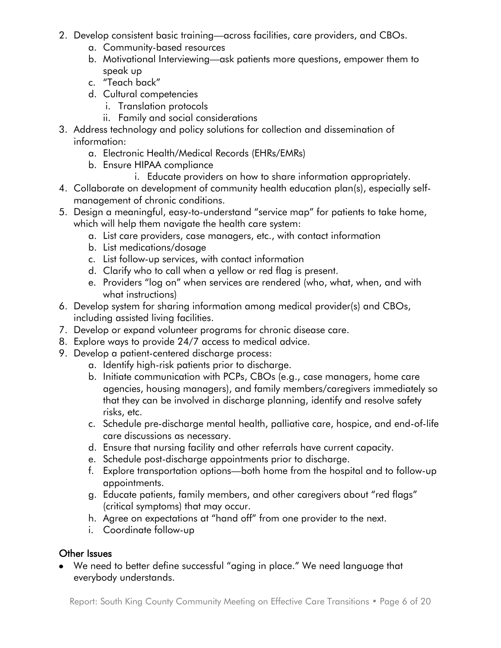- 2. Develop consistent basic training—across facilities, care providers, and CBOs.
	- a. Community-based resources
	- b. Motivational Interviewing—ask patients more questions, empower them to speak up
	- c. "Teach back"
	- d. Cultural competencies
		- i. Translation protocols
		- ii. Family and social considerations
- 3. Address technology and policy solutions for collection and dissemination of information:
	- a. Electronic Health/Medical Records (EHRs/EMRs)
	- b. Ensure HIPAA compliance
		- i. Educate providers on how to share information appropriately.
- 4. Collaborate on development of community health education plan(s), especially selfmanagement of chronic conditions.
- 5. Design a meaningful, easy-to-understand "service map" for patients to take home, which will help them navigate the health care system:
	- a. List care providers, case managers, etc., with contact information
	- b. List medications/dosage
	- c. List follow-up services, with contact information
	- d. Clarify who to call when a yellow or red flag is present.
	- e. Providers "log on" when services are rendered (who, what, when, and with what instructions)
- 6. Develop system for sharing information among medical provider(s) and CBOs, including assisted living facilities.
- 7. Develop or expand volunteer programs for chronic disease care.
- 8. Explore ways to provide 24/7 access to medical advice.
- 9. Develop a patient-centered discharge process:
	- a. Identify high-risk patients prior to discharge.
	- b. Initiate communication with PCPs, CBOs (e.g., case managers, home care agencies, housing managers), and family members/caregivers immediately so that they can be involved in discharge planning, identify and resolve safety risks, etc.
	- c. Schedule pre-discharge mental health, palliative care, hospice, and end-of-life care discussions as necessary.
	- d. Ensure that nursing facility and other referrals have current capacity.
	- e. Schedule post-discharge appointments prior to discharge.
	- f. Explore transportation options—both home from the hospital and to follow-up appointments.
	- g. Educate patients, family members, and other caregivers about "red flags" (critical symptoms) that may occur.
	- h. Agree on expectations at "hand off" from one provider to the next.
	- i. Coordinate follow-up

### Other Issues

We need to better define successful "aging in place." We need language that everybody understands.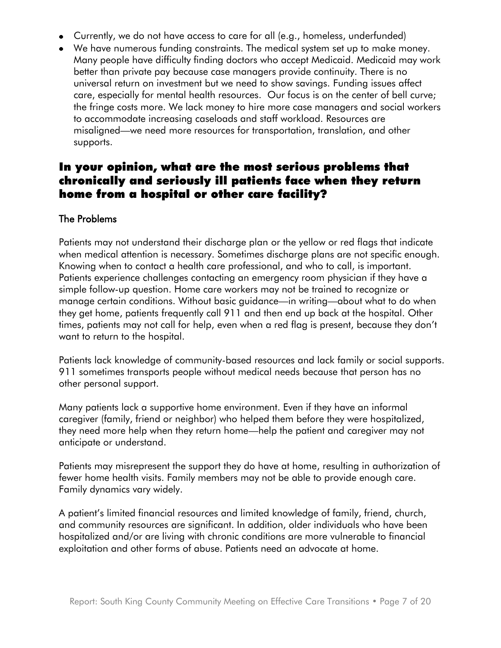- Currently, we do not have access to care for all (e.g., homeless, underfunded)
- We have numerous funding constraints. The medical system set up to make money. Many people have difficulty finding doctors who accept Medicaid. Medicaid may work better than private pay because case managers provide continuity. There is no universal return on investment but we need to show savings. Funding issues affect care, especially for mental health resources. Our focus is on the center of bell curve; the fringe costs more. We lack money to hire more case managers and social workers to accommodate increasing caseloads and staff workload. Resources are misaligned—we need more resources for transportation, translation, and other supports.

# In your opinion, what are the most serious problems that chronically and seriously ill patients face when they return home from a hospital or other care facility?

#### The Problems

Patients may not understand their discharge plan or the yellow or red flags that indicate when medical attention is necessary. Sometimes discharge plans are not specific enough. Knowing when to contact a health care professional, and who to call, is important. Patients experience challenges contacting an emergency room physician if they have a simple follow-up question. Home care workers may not be trained to recognize or manage certain conditions. Without basic guidance—in writing—about what to do when they get home, patients frequently call 911 and then end up back at the hospital. Other times, patients may not call for help, even when a red flag is present, because they don't want to return to the hospital.

Patients lack knowledge of community-based resources and lack family or social supports. 911 sometimes transports people without medical needs because that person has no other personal support.

Many patients lack a supportive home environment. Even if they have an informal caregiver (family, friend or neighbor) who helped them before they were hospitalized, they need more help when they return home—help the patient and caregiver may not anticipate or understand.

Patients may misrepresent the support they do have at home, resulting in authorization of fewer home health visits. Family members may not be able to provide enough care. Family dynamics vary widely.

A patient's limited financial resources and limited knowledge of family, friend, church, and community resources are significant. In addition, older individuals who have been hospitalized and/or are living with chronic conditions are more vulnerable to financial exploitation and other forms of abuse. Patients need an advocate at home.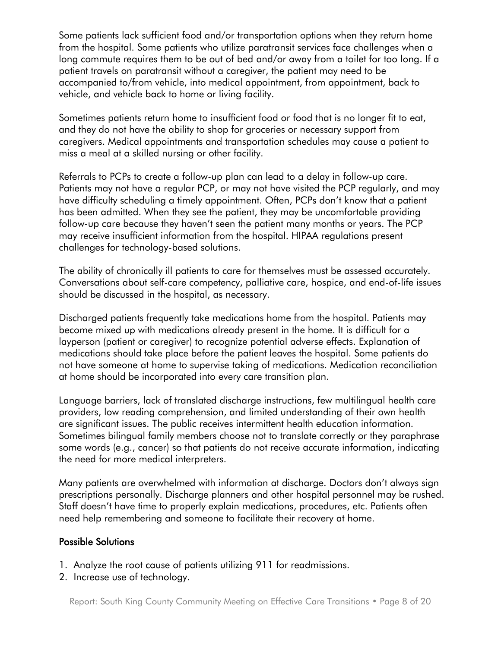Some patients lack sufficient food and/or transportation options when they return home from the hospital. Some patients who utilize paratransit services face challenges when a long commute requires them to be out of bed and/or away from a toilet for too long. If a patient travels on paratransit without a caregiver, the patient may need to be accompanied to/from vehicle, into medical appointment, from appointment, back to vehicle, and vehicle back to home or living facility.

Sometimes patients return home to insufficient food or food that is no longer fit to eat, and they do not have the ability to shop for groceries or necessary support from caregivers. Medical appointments and transportation schedules may cause a patient to miss a meal at a skilled nursing or other facility.

Referrals to PCPs to create a follow-up plan can lead to a delay in follow-up care. Patients may not have a regular PCP, or may not have visited the PCP regularly, and may have difficulty scheduling a timely appointment. Often, PCPs don't know that a patient has been admitted. When they see the patient, they may be uncomfortable providing follow-up care because they haven't seen the patient many months or years. The PCP may receive insufficient information from the hospital. HIPAA regulations present challenges for technology-based solutions.

The ability of chronically ill patients to care for themselves must be assessed accurately. Conversations about self-care competency, palliative care, hospice, and end-of-life issues should be discussed in the hospital, as necessary.

Discharged patients frequently take medications home from the hospital. Patients may become mixed up with medications already present in the home. It is difficult for a layperson (patient or caregiver) to recognize potential adverse effects. Explanation of medications should take place before the patient leaves the hospital. Some patients do not have someone at home to supervise taking of medications. Medication reconciliation at home should be incorporated into every care transition plan.

Language barriers, lack of translated discharge instructions, few multilingual health care providers, low reading comprehension, and limited understanding of their own health are significant issues. The public receives intermittent health education information. Sometimes bilingual family members choose not to translate correctly or they paraphrase some words (e.g., cancer) so that patients do not receive accurate information, indicating the need for more medical interpreters.

Many patients are overwhelmed with information at discharge. Doctors don't always sign prescriptions personally. Discharge planners and other hospital personnel may be rushed. Staff doesn't have time to properly explain medications, procedures, etc. Patients often need help remembering and someone to facilitate their recovery at home.

### Possible Solutions

- 1. Analyze the root cause of patients utilizing 911 for readmissions.
- 2. Increase use of technology.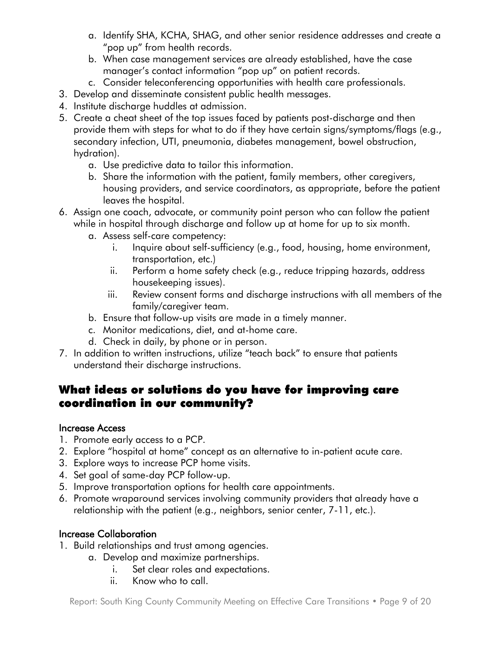- a. Identify SHA, KCHA, SHAG, and other senior residence addresses and create a "pop up" from health records.
- b. When case management services are already established, have the case manager's contact information "pop up" on patient records.
- c. Consider teleconferencing opportunities with health care professionals.
- 3. Develop and disseminate consistent public health messages.
- 4. Institute discharge huddles at admission.
- 5. Create a cheat sheet of the top issues faced by patients post-discharge and then provide them with steps for what to do if they have certain signs/symptoms/flags (e.g., secondary infection, UTI, pneumonia, diabetes management, bowel obstruction, hydration).
	- a. Use predictive data to tailor this information.
	- b. Share the information with the patient, family members, other caregivers, housing providers, and service coordinators, as appropriate, before the patient leaves the hospital.
- 6. Assign one coach, advocate, or community point person who can follow the patient while in hospital through discharge and follow up at home for up to six month.
	- a. Assess self-care competency:
		- i. Inquire about self-sufficiency (e.g., food, housing, home environment, transportation, etc.)
		- ii. Perform a home safety check (e.g., reduce tripping hazards, address housekeeping issues).
		- iii. Review consent forms and discharge instructions with all members of the family/caregiver team.
	- b. Ensure that follow-up visits are made in a timely manner.
	- c. Monitor medications, diet, and at-home care.
	- d. Check in daily, by phone or in person.
- 7. In addition to written instructions, utilize "teach back" to ensure that patients understand their discharge instructions.

# What ideas or solutions do you have for improving care coordination in our community?

### Increase Access

- 1. Promote early access to a PCP.
- 2. Explore "hospital at home" concept as an alternative to in-patient acute care.
- 3. Explore ways to increase PCP home visits.
- 4. Set goal of same-day PCP follow-up.
- 5. Improve transportation options for health care appointments.
- 6. Promote wraparound services involving community providers that already have a relationship with the patient (e.g., neighbors, senior center, 7-11, etc.).

### Increase Collaboration

- 1. Build relationships and trust among agencies.
	- a. Develop and maximize partnerships.
		- i. Set clear roles and expectations.
		- ii. Know who to call.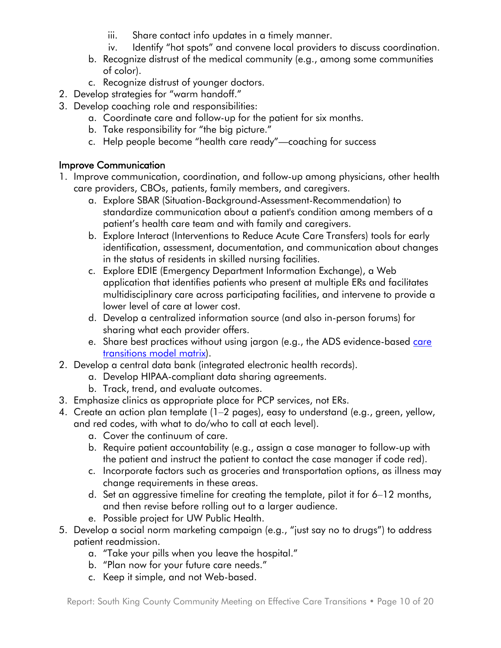- iii. Share contact info updates in a timely manner.
- iv. Identify "hot spots" and convene local providers to discuss coordination.
- b. Recognize distrust of the medical community (e.g., among some communities of color).
- c. Recognize distrust of younger doctors.
- 2. Develop strategies for "warm handoff."
- 3. Develop coaching role and responsibilities:
	- a. Coordinate care and follow-up for the patient for six months.
	- b. Take responsibility for "the big picture."
	- c. Help people become "health care ready"—coaching for success

### Improve Communication

- 1. Improve communication, coordination, and follow-up among physicians, other health care providers, CBOs, patients, family members, and caregivers.
	- a. Explore SBAR (Situation-Background-Assessment-Recommendation) to standardize communication about a patient's condition among members of a patient's health care team and with family and caregivers.
	- b. Explore Interact (Interventions to Reduce Acute Care Transfers) tools for early identification, assessment, documentation, and communication about changes in the status of residents in skilled nursing facilities.
	- c. Explore EDIE (Emergency Department Information Exchange), a Web application that identifies patients who present at multiple ERs and facilitates multidisciplinary care across participating facilities, and intervene to provide a lower level of care at lower cost.
	- d. Develop a centralized information source (and also in-person forums) for sharing what each provider offers.
	- e. Share best practices without using jargon (e.g., the ADS evidence-based care [transitions model matrix\)](http://www.agingkingcounty.org/healthcarereform/docs/CareTransitionsModels.pdf).
- 2. Develop a central data bank (integrated electronic health records).
	- a. Develop HIPAA-compliant data sharing agreements.
	- b. Track, trend, and evaluate outcomes.
- 3. Emphasize clinics as appropriate place for PCP services, not ERs.
- 4. Create an action plan template (1–2 pages), easy to understand (e.g., green, yellow, and red codes, with what to do/who to call at each level).
	- a. Cover the continuum of care.
	- b. Require patient accountability (e.g., assign a case manager to follow-up with the patient and instruct the patient to contact the case manager if code red).
	- c. Incorporate factors such as groceries and transportation options, as illness may change requirements in these areas.
	- d. Set an aggressive timeline for creating the template, pilot it for 6–12 months, and then revise before rolling out to a larger audience.
	- e. Possible project for UW Public Health.
- 5. Develop a social norm marketing campaign (e.g., "just say no to drugs") to address patient readmission.
	- a. "Take your pills when you leave the hospital."
	- b. "Plan now for your future care needs."
	- c. Keep it simple, and not Web-based.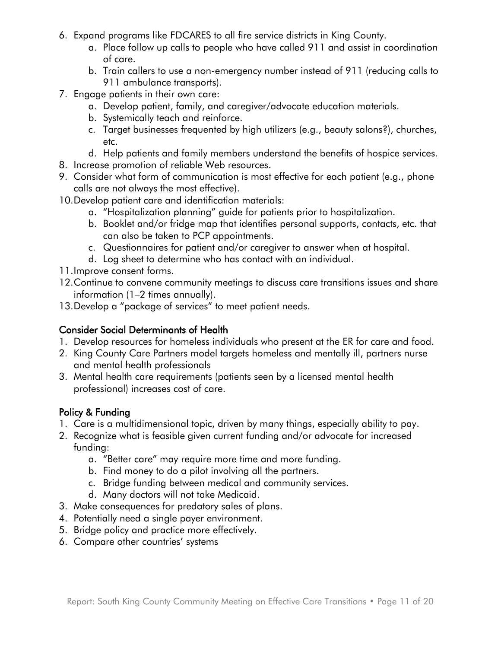- 6. Expand programs like FDCARES to all fire service districts in King County.
	- a. Place follow up calls to people who have called 911 and assist in coordination of care.
	- b. Train callers to use a non-emergency number instead of 911 (reducing calls to 911 ambulance transports).
- 7. Engage patients in their own care:
	- a. Develop patient, family, and caregiver/advocate education materials.
	- b. Systemically teach and reinforce.
	- c. Target businesses frequented by high utilizers (e.g., beauty salons?), churches, etc.
	- d. Help patients and family members understand the benefits of hospice services.
- 8. Increase promotion of reliable Web resources.
- 9. Consider what form of communication is most effective for each patient (e.g., phone calls are not always the most effective).
- 10.Develop patient care and identification materials:
	- a. "Hospitalization planning" guide for patients prior to hospitalization.
	- b. Booklet and/or fridge map that identifies personal supports, contacts, etc. that can also be taken to PCP appointments.
	- c. Questionnaires for patient and/or caregiver to answer when at hospital.
	- d. Log sheet to determine who has contact with an individual.
- 11.Improve consent forms.
- 12.Continue to convene community meetings to discuss care transitions issues and share information (1–2 times annually).
- 13.Develop a "package of services" to meet patient needs.

### Consider Social Determinants of Health

- 1. Develop resources for homeless individuals who present at the ER for care and food.
- 2. King County Care Partners model targets homeless and mentally ill, partners nurse and mental health professionals
- 3. Mental health care requirements (patients seen by a licensed mental health professional) increases cost of care.

# Policy & Funding

- 1. Care is a multidimensional topic, driven by many things, especially ability to pay.
- 2. Recognize what is feasible given current funding and/or advocate for increased funding:
	- a. "Better care" may require more time and more funding.
	- b. Find money to do a pilot involving all the partners.
	- c. Bridge funding between medical and community services.
	- d. Many doctors will not take Medicaid.
- 3. Make consequences for predatory sales of plans.
- 4. Potentially need a single payer environment.
- 5. Bridge policy and practice more effectively.
- 6. Compare other countries' systems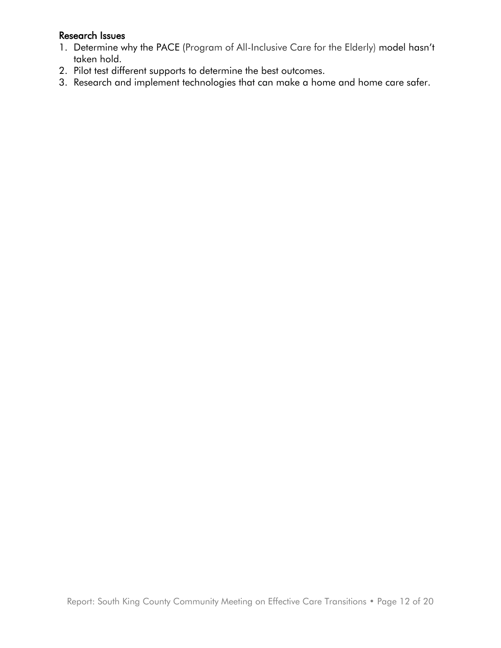### Research Issues

- 1. Determine why the PACE (Program of All-Inclusive Care for the Elderly) model hasn't taken hold.
- 2. Pilot test different supports to determine the best outcomes.
- 3. Research and implement technologies that can make a home and home care safer.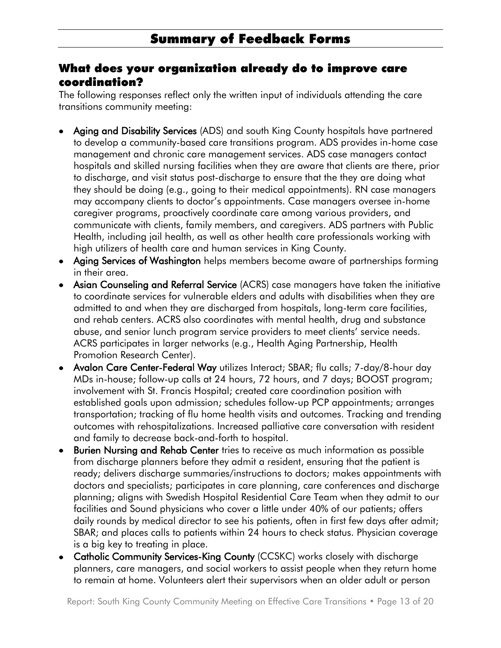## What does your organization already do to improve care coordination?

The following responses reflect only the written input of individuals attending the care transitions community meeting:

- Aging and Disability Services (ADS) and south King County hospitals have partnered to develop a community-based care transitions program. ADS provides in-home case management and chronic care management services. ADS case managers contact hospitals and skilled nursing facilities when they are aware that clients are there, prior to discharge, and visit status post-discharge to ensure that the they are doing what they should be doing (e.g., going to their medical appointments). RN case managers may accompany clients to doctor's appointments. Case managers oversee in-home caregiver programs, proactively coordinate care among various providers, and communicate with clients, family members, and caregivers. ADS partners with Public Health, including jail health, as well as other health care professionals working with high utilizers of health care and human services in King County.
- Aging Services of Washington helps members become aware of partnerships forming in their area.
- Asian Counseling and Referral Service (ACRS) case managers have taken the initiative to coordinate services for vulnerable elders and adults with disabilities when they are admitted to and when they are discharged from hospitals, long-term care facilities, and rehab centers. ACRS also coordinates with mental health, drug and substance abuse, and senior lunch program service providers to meet clients' service needs. ACRS participates in larger networks (e.g., Health Aging Partnership, Health Promotion Research Center).
- Avalon Care Center-Federal Way utilizes Interact; SBAR; flu calls; 7-day/8-hour day MDs in-house; follow-up calls at 24 hours, 72 hours, and 7 days; BOOST program; involvement with St. Francis Hospital; created care coordination position with established goals upon admission; schedules follow-up PCP appointments; arranges transportation; tracking of flu home health visits and outcomes. Tracking and trending outcomes with rehospitalizations. Increased palliative care conversation with resident and family to decrease back-and-forth to hospital.
- Burien Nursing and Rehab Center tries to receive as much information as possible from discharge planners before they admit a resident, ensuring that the patient is ready; delivers discharge summaries/instructions to doctors; makes appointments with doctors and specialists; participates in care planning, care conferences and discharge planning; aligns with Swedish Hospital Residential Care Team when they admit to our facilities and Sound physicians who cover a little under 40% of our patients; offers daily rounds by medical director to see his patients, often in first few days after admit; SBAR; and places calls to patients within 24 hours to check status. Physician coverage is a big key to treating in place.
- Catholic Community Services-King County (CCSKC) works closely with discharge planners, care managers, and social workers to assist people when they return home to remain at home. Volunteers alert their supervisors when an older adult or person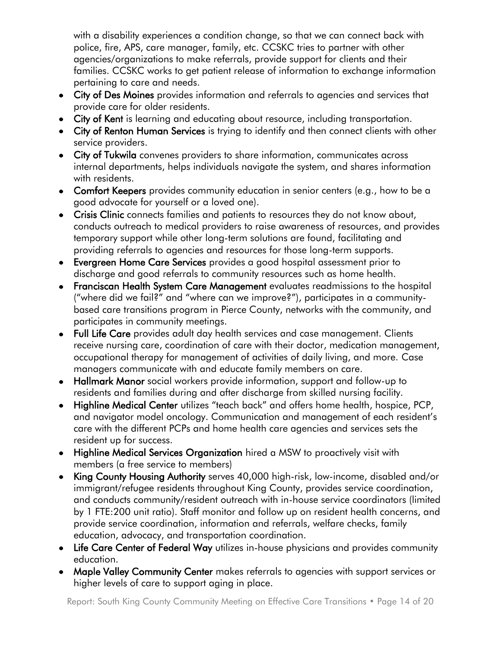with a disability experiences a condition change, so that we can connect back with police, fire, APS, care manager, family, etc. CCSKC tries to partner with other agencies/organizations to make referrals, provide support for clients and their families. CCSKC works to get patient release of information to exchange information pertaining to care and needs.

- City of Des Moines provides information and referrals to agencies and services that provide care for older residents.
- City of Kent is learning and educating about resource, including transportation.
- City of Renton Human Services is trying to identify and then connect clients with other service providers.
- City of Tukwila convenes providers to share information, communicates across internal departments, helps individuals navigate the system, and shares information with residents.
- Comfort Keepers provides community education in senior centers (e.g., how to be a good advocate for yourself or a loved one).
- Crisis Clinic connects families and patients to resources they do not know about, conducts outreach to medical providers to raise awareness of resources, and provides temporary support while other long-term solutions are found, facilitating and providing referrals to agencies and resources for those long-term supports.
- Evergreen Home Care Services provides a good hospital assessment prior to discharge and good referrals to community resources such as home health.
- Franciscan Health System Care Management evaluates readmissions to the hospital ("where did we fail?" and "where can we improve?"), participates in a communitybased care transitions program in Pierce County, networks with the community, and participates in community meetings.
- Full Life Care provides adult day health services and case management. Clients receive nursing care, coordination of care with their doctor, medication management, occupational therapy for management of activities of daily living, and more. Case managers communicate with and educate family members on care.
- Hallmark Manor social workers provide information, support and follow-up to residents and families during and after discharge from skilled nursing facility.
- Highline Medical Center utilizes "teach back" and offers home health, hospice, PCP, and navigator model oncology. Communication and management of each resident's care with the different PCPs and home health care agencies and services sets the resident up for success.
- Highline Medical Services Organization hired a MSW to proactively visit with members (a free service to members)
- King County Housing Authority serves 40,000 high-risk, low-income, disabled and/or immigrant/refugee residents throughout King County, provides service coordination, and conducts community/resident outreach with in-house service coordinators (limited by 1 FTE:200 unit ratio). Staff monitor and follow up on resident health concerns, and provide service coordination, information and referrals, welfare checks, family education, advocacy, and transportation coordination.
- Life Care Center of Federal Way utilizes in-house physicians and provides community education.
- Maple Valley Community Center makes referrals to agencies with support services or higher levels of care to support aging in place.

Report: South King County Community Meeting on Effective Care Transitions • Page 14 of 20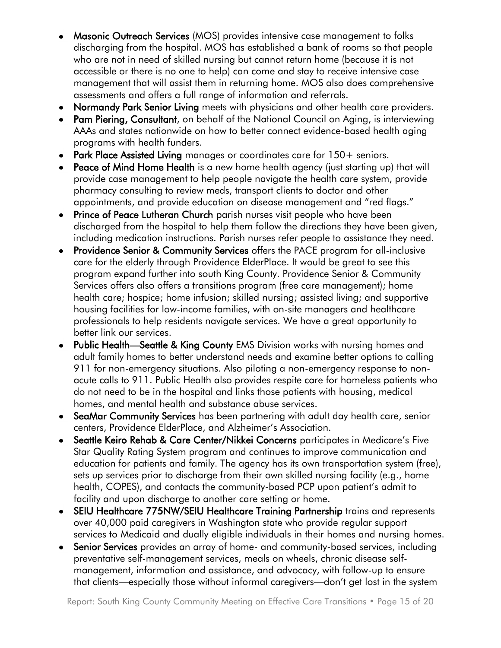- Masonic Outreach Services (MOS) provides intensive case management to folks discharging from the hospital. MOS has established a bank of rooms so that people who are not in need of skilled nursing but cannot return home (because it is not accessible or there is no one to help) can come and stay to receive intensive case management that will assist them in returning home. MOS also does comprehensive assessments and offers a full range of information and referrals.
- Normandy Park Senior Living meets with physicians and other health care providers.
- Pam Piering, Consultant, on behalf of the National Council on Aging, is interviewing AAAs and states nationwide on how to better connect evidence-based health aging programs with health funders.
- Park Place Assisted Living manages or coordinates care for 150+ seniors.
- Peace of Mind Home Health is a new home health agency (just starting up) that will provide case management to help people navigate the health care system, provide pharmacy consulting to review meds, transport clients to doctor and other appointments, and provide education on disease management and "red flags."
- Prince of Peace Lutheran Church parish nurses visit people who have been discharged from the hospital to help them follow the directions they have been given, including medication instructions. Parish nurses refer people to assistance they need.
- Providence Senior & Community Services offers the PACE program for all-inclusive care for the elderly through Providence ElderPlace. It would be great to see this program expand further into south King County. Providence Senior & Community Services offers also offers a transitions program (free care management); home health care; hospice; home infusion; skilled nursing; assisted living; and supportive housing facilities for low-income families, with on-site managers and healthcare professionals to help residents navigate services. We have a great opportunity to better link our services.
- Public Health—Seattle & King County EMS Division works with nursing homes and adult family homes to better understand needs and examine better options to calling 911 for non-emergency situations. Also piloting a non-emergency response to nonacute calls to 911. Public Health also provides respite care for homeless patients who do not need to be in the hospital and links those patients with housing, medical homes, and mental health and substance abuse services.
- SeaMar Community Services has been partnering with adult day health care, senior centers, Providence ElderPlace, and Alzheimer's Association.
- Seattle Keiro Rehab & Care Center/Nikkei Concerns participates in Medicare's Five Star Quality Rating System program and continues to improve communication and education for patients and family. The agency has its own transportation system (free), sets up services prior to discharge from their own skilled nursing facility (e.g., home health, COPES), and contacts the community-based PCP upon patient's admit to facility and upon discharge to another care setting or home.
- SEIU Healthcare 775NW/SEIU Healthcare Training Partnership trains and represents over 40,000 paid caregivers in Washington state who provide regular support services to Medicaid and dually eligible individuals in their homes and nursing homes.
- Senior Services provides an array of home- and community-based services, including preventative self-management services, meals on wheels, chronic disease selfmanagement, information and assistance, and advocacy, with follow-up to ensure that clients—especially those without informal caregivers—don't get lost in the system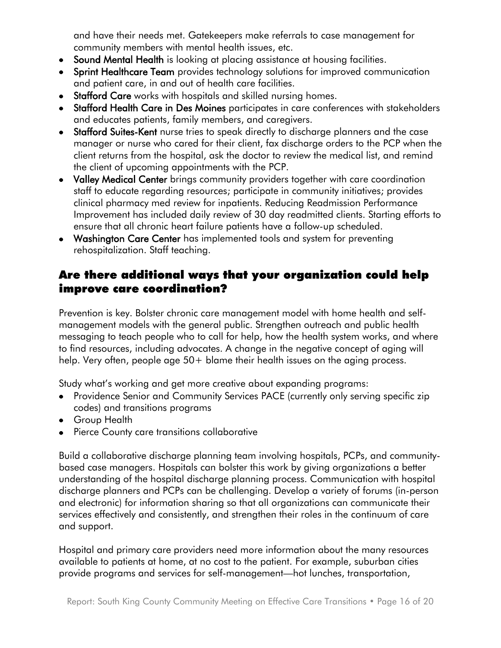and have their needs met. Gatekeepers make referrals to case management for community members with mental health issues, etc.

- Sound Mental Health is looking at placing assistance at housing facilities.
- Sprint Healthcare Team provides technology solutions for improved communication and patient care, in and out of health care facilities.
- Stafford Care works with hospitals and skilled nursing homes.
- Stafford Health Care in Des Moines participates in care conferences with stakeholders and educates patients, family members, and caregivers.
- Stafford Suites-Kent nurse tries to speak directly to discharge planners and the case manager or nurse who cared for their client, fax discharge orders to the PCP when the client returns from the hospital, ask the doctor to review the medical list, and remind the client of upcoming appointments with the PCP.
- Valley Medical Center brings community providers together with care coordination staff to educate regarding resources; participate in community initiatives; provides clinical pharmacy med review for inpatients. Reducing Readmission Performance Improvement has included daily review of 30 day readmitted clients. Starting efforts to ensure that all chronic heart failure patients have a follow-up scheduled.
- Washington Care Center has implemented tools and system for preventing rehospitalization. Staff teaching.

# Are there additional ways that your organization could help improve care coordination?

Prevention is key. Bolster chronic care management model with home health and selfmanagement models with the general public. Strengthen outreach and public health messaging to teach people who to call for help, how the health system works, and where to find resources, including advocates. A change in the negative concept of aging will help. Very often, people age 50+ blame their health issues on the aging process.

Study what's working and get more creative about expanding programs:

- Providence Senior and Community Services PACE (currently only serving specific zip codes) and transitions programs
- Group Health
- Pierce County care transitions collaborative

Build a collaborative discharge planning team involving hospitals, PCPs, and communitybased case managers. Hospitals can bolster this work by giving organizations a better understanding of the hospital discharge planning process. Communication with hospital discharge planners and PCPs can be challenging. Develop a variety of forums (in-person and electronic) for information sharing so that all organizations can communicate their services effectively and consistently, and strengthen their roles in the continuum of care and support.

Hospital and primary care providers need more information about the many resources available to patients at home, at no cost to the patient. For example, suburban cities provide programs and services for self-management—hot lunches, transportation,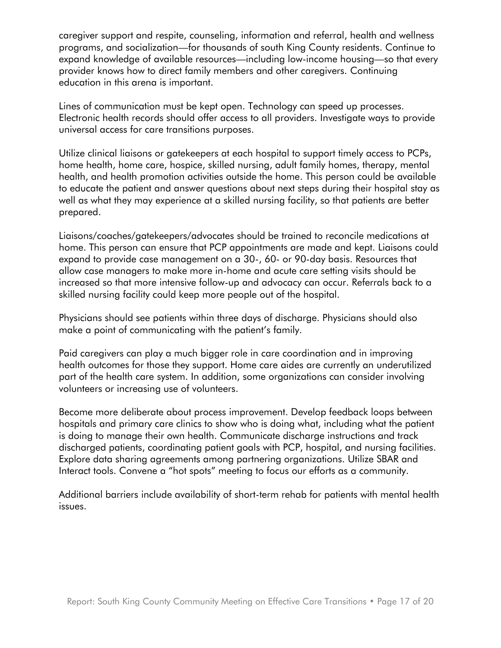caregiver support and respite, counseling, information and referral, health and wellness programs, and socialization—for thousands of south King County residents. Continue to expand knowledge of available resources—including low-income housing—so that every provider knows how to direct family members and other caregivers. Continuing education in this arena is important.

Lines of communication must be kept open. Technology can speed up processes. Electronic health records should offer access to all providers. Investigate ways to provide universal access for care transitions purposes.

Utilize clinical liaisons or gatekeepers at each hospital to support timely access to PCPs, home health, home care, hospice, skilled nursing, adult family homes, therapy, mental health, and health promotion activities outside the home. This person could be available to educate the patient and answer questions about next steps during their hospital stay as well as what they may experience at a skilled nursing facility, so that patients are better prepared.

Liaisons/coaches/gatekeepers/advocates should be trained to reconcile medications at home. This person can ensure that PCP appointments are made and kept. Liaisons could expand to provide case management on a 30-, 60- or 90-day basis. Resources that allow case managers to make more in-home and acute care setting visits should be increased so that more intensive follow-up and advocacy can occur. Referrals back to a skilled nursing facility could keep more people out of the hospital.

Physicians should see patients within three days of discharge. Physicians should also make a point of communicating with the patient's family.

Paid caregivers can play a much bigger role in care coordination and in improving health outcomes for those they support. Home care aides are currently an underutilized part of the health care system. In addition, some organizations can consider involving volunteers or increasing use of volunteers.

Become more deliberate about process improvement. Develop feedback loops between hospitals and primary care clinics to show who is doing what, including what the patient is doing to manage their own health. Communicate discharge instructions and track discharged patients, coordinating patient goals with PCP, hospital, and nursing facilities. Explore data sharing agreements among partnering organizations. Utilize SBAR and Interact tools. Convene a "hot spots" meeting to focus our efforts as a community.

Additional barriers include availability of short-term rehab for patients with mental health issues.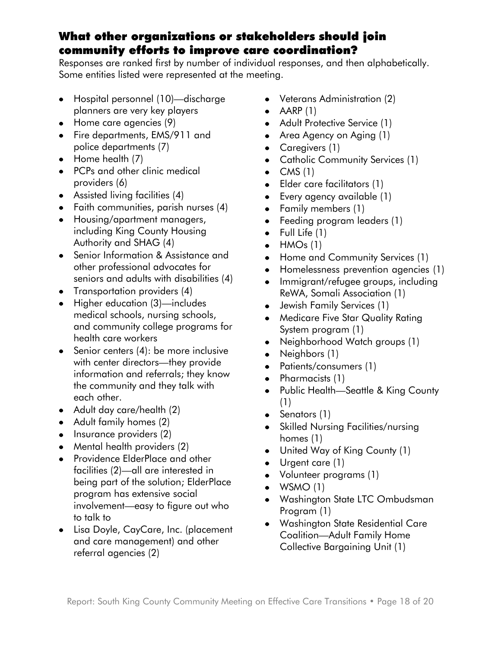# What other organizations or stakeholders should join community efforts to improve care coordination?

Responses are ranked first by number of individual responses, and then alphabetically. Some entities listed were represented at the meeting.

- Hospital personnel (10)—discharge planners are very key players
- Home care agencies (9)
- Fire departments, EMS/911 and police departments (7)
- Home health (7)
- PCPs and other clinic medical providers (6)
- Assisted living facilities (4)
- Faith communities, parish nurses (4)
- Housing/apartment managers, including King County Housing Authority and SHAG (4)
- Senior Information & Assistance and other professional advocates for seniors and adults with disabilities (4)
- Transportation providers (4)
- Higher education (3)-includes medical schools, nursing schools, and community college programs for health care workers
- Senior centers (4): be more inclusive with center directors—they provide information and referrals; they know the community and they talk with each other.
- Adult day care/health (2)
- Adult family homes (2)
- $\bullet$  Insurance providers (2)
- Mental health providers (2)
- Providence ElderPlace and other facilities (2)—all are interested in being part of the solution; ElderPlace program has extensive social involvement—easy to figure out who to talk to
- Lisa Doyle, CayCare, Inc. (placement and care management) and other referral agencies (2)
- Veterans Administration (2)
- $\bullet$  AARP (1)
- Adult Protective Service (1)
- Area Agency on Aging (1)
- Caregivers (1)
- Catholic Community Services (1)
- $\bullet$  CMS (1)
- Elder care facilitators (1)
- Every agency available (1)  $\bullet$
- Family members (1)
- Feeding program leaders (1)  $\bullet$
- $\bullet$  Full Life  $(1)$
- $\bullet$  HMOs (1)
- Home and Community Services (1)  $\bullet$
- Homelessness prevention agencies (1)
- Immigrant/refugee groups, including  $\bullet$ ReWA, Somali Association (1)
- Jewish Family Services (1)  $\bullet$
- Medicare Five Star Quality Rating  $\bullet$ System program (1)
- Neighborhood Watch groups (1)  $\bullet$
- Neighbors (1)  $\bullet$
- Patients/consumers (1)  $\bullet$
- $\bullet$ Pharmacists (1)
- Public Health—Seattle & King County  $\bullet$ (1)
- Senators (1)
- Skilled Nursing Facilities/nursing  $\bullet$ homes (1)
- United Way of King County (1)  $\bullet$
- $\bullet$ Urgent care (1)
- Volunteer programs (1)
- $\bullet$  WSMO (1)
- Washington State LTC Ombudsman Program (1)
- Washington State Residential Care Coalition—Adult Family Home Collective Bargaining Unit (1)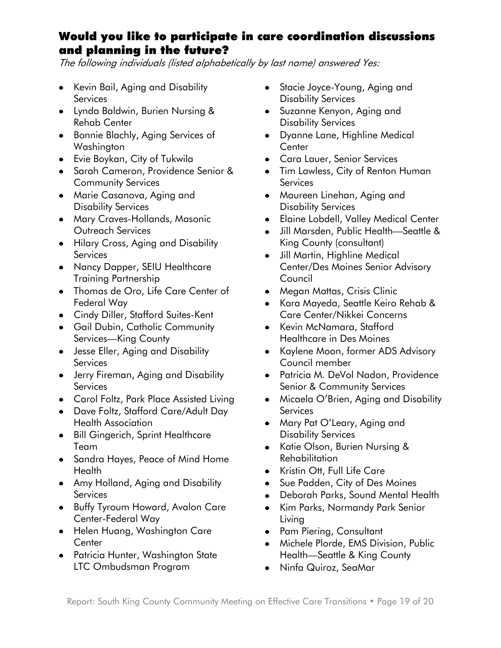# Would you like to participate in care coordination discussions and planning in the future?

The following individuals (listed alphabetically by last name) answered Yes:

- Kevin Bail, Aging and Disability **Services**
- Lynda Baldwin, Burien Nursing & Rehab Center
- Bonnie Blachly, Aging Services of Washington
- Evie Boykan, City of Tukwila
- Sarah Cameron, Providence Senior & Community Services
- Marie Casanova, Aging and Disability Services
- Mary Craves-Hollands, Masonic Outreach Services
- Hilary Cross, Aging and Disability **Services**
- Nancy Dapper, SEIU Healthcare Training Partnership
- Thomas de Oro, Life Care Center of Federal Way
- Cindy Diller, Stafford Suites-Kent
- **Gail Dubin, Catholic Community** Services—King County
- Jesse Eller, Aging and Disability **Services**
- Jerry Fireman, Aging and Disability **Services**
- Carol Foltz, Park Place Assisted Living
- Dave Foltz, Stafford Care/Adult Day Health Association
- Bill Gingerich, Sprint Healthcare Team
- Sandra Hayes, Peace of Mind Home **Health**
- Amy Holland, Aging and Disability **Services**
- Buffy Tyroum Howard, Avalon Care Center-Federal Way
- Helen Huang, Washington Care **Center**
- Patricia Hunter, Washington State LTC Ombudsman Program
- Stacie Joyce-Young, Aging and Disability Services
- Suzanne Kenyon, Aging and Disability Services
- Dyanne Lane, Highline Medical **Center**
- Cara Lauer, Senior Services
- Tim Lawless, City of Renton Human **Services**
- Maureen Linehan, Aging and Disability Services
- Elaine Lobdell, Valley Medical Center
- Jill Marsden, Public Health—Seattle & King County (consultant)
- Jill Martin, Highline Medical Center/Des Moines Senior Advisory Council
- Megan Mattas, Crisis Clinic
- Kara Mayeda, Seattle Keiro Rehab & Care Center/Nikkei Concerns
- Kevin McNamara, Stafford Healthcare in Des Moines
- Kaylene Moon, former ADS Advisory Council member
- Patricia M. DeVol Nadon, Providence Senior & Community Services
- Micaela O'Brien, Aging and Disability **Services**
- Mary Pat O'Leary, Aging and Disability Services
- Katie Olson, Burien Nursing & Rehabilitation
- Kristin Ott, Full Life Care
- Sue Padden, City of Des Moines  $\bullet$
- Deborah Parks, Sound Mental Health  $\bullet$
- Kim Parks, Normandy Park Senior  $\bullet$ Living
- Pam Piering, Consultant
- Michele Plorde, EMS Division, Public Health—Seattle & King County
- Ninfa Quiroz, SeaMar